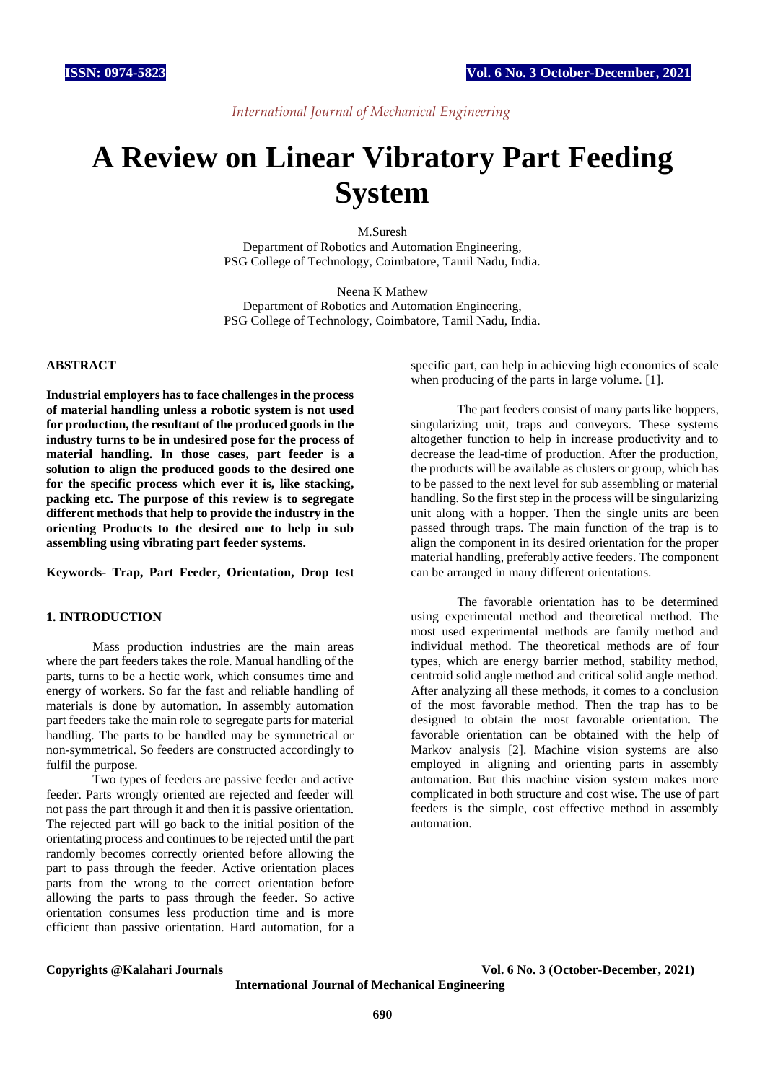# *International Journal of Mechanical Engineering*

# **A Review on Linear Vibratory Part Feeding System**

M.Suresh Department of Robotics and Automation Engineering, PSG College of Technology, Coimbatore, Tamil Nadu, India.

Neena K Mathew Department of Robotics and Automation Engineering, PSG College of Technology, Coimbatore, Tamil Nadu, India.

# **ABSTRACT**

**Industrial employers has to face challenges in the process of material handling unless a robotic system is not used for production, the resultant of the produced goods in the industry turns to be in undesired pose for the process of material handling. In those cases, part feeder is a solution to align the produced goods to the desired one for the specific process which ever it is, like stacking, packing etc. The purpose of this review is to segregate different methods that help to provide the industry in the orienting Products to the desired one to help in sub assembling using vibrating part feeder systems.**

**Keywords- Trap, Part Feeder, Orientation, Drop test**

# **1. INTRODUCTION**

Mass production industries are the main areas where the part feeders takes the role. Manual handling of the parts, turns to be a hectic work, which consumes time and energy of workers. So far the fast and reliable handling of materials is done by automation. In assembly automation part feeders take the main role to segregate parts for material handling. The parts to be handled may be symmetrical or non-symmetrical. So feeders are constructed accordingly to fulfil the purpose.

Two types of feeders are passive feeder and active feeder. Parts wrongly oriented are rejected and feeder will not pass the part through it and then it is passive orientation. The rejected part will go back to the initial position of the orientating process and continues to be rejected until the part randomly becomes correctly oriented before allowing the part to pass through the feeder. Active orientation places parts from the wrong to the correct orientation before allowing the parts to pass through the feeder. So active orientation consumes less production time and is more efficient than passive orientation. Hard automation, for a

specific part, can help in achieving high economics of scale when producing of the parts in large volume. [1].

The part feeders consist of many parts like hoppers, singularizing unit, traps and conveyors. These systems altogether function to help in increase productivity and to decrease the lead-time of production. After the production, the products will be available as clusters or group, which has to be passed to the next level for sub assembling or material handling. So the first step in the process will be singularizing unit along with a hopper. Then the single units are been passed through traps. The main function of the trap is to align the component in its desired orientation for the proper material handling, preferably active feeders. The component can be arranged in many different orientations.

The favorable orientation has to be determined using experimental method and theoretical method. The most used experimental methods are family method and individual method. The theoretical methods are of four types, which are energy barrier method, stability method, centroid solid angle method and critical solid angle method. After analyzing all these methods, it comes to a conclusion of the most favorable method. Then the trap has to be designed to obtain the most favorable orientation. The favorable orientation can be obtained with the help of Markov analysis [2]. Machine vision systems are also employed in aligning and orienting parts in assembly automation. But this machine vision system makes more complicated in both structure and cost wise. The use of part feeders is the simple, cost effective method in assembly automation.

### **Copyrights @Kalahari Journals Vol. 6 No. 3 (October-December, 2021)**

**International Journal of Mechanical Engineering**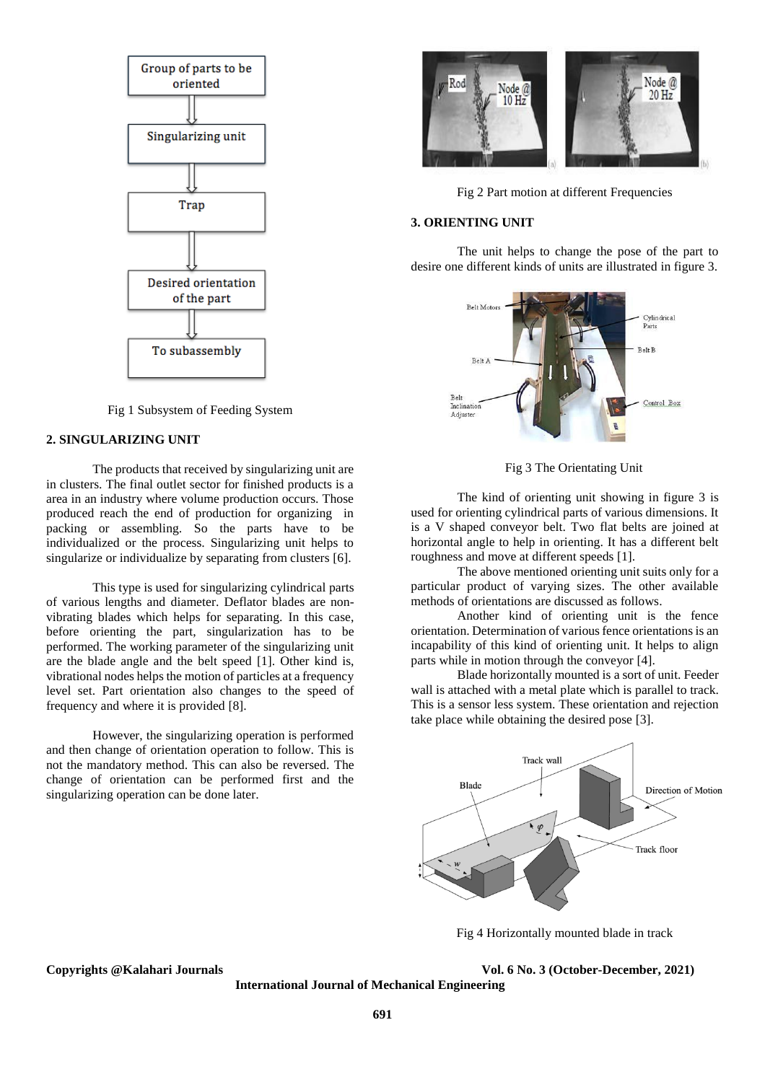

Fig 1 Subsystem of Feeding System

### **2. SINGULARIZING UNIT**

The products that received by singularizing unit are in clusters. The final outlet sector for finished products is a area in an industry where volume production occurs. Those produced reach the end of production for organizing in packing or assembling. So the parts have to be individualized or the process. Singularizing unit helps to singularize or individualize by separating from clusters [6].

This type is used for singularizing cylindrical parts of various lengths and diameter. Deflator blades are nonvibrating blades which helps for separating. In this case, before orienting the part, singularization has to be performed. The working parameter of the singularizing unit are the blade angle and the belt speed [1]. Other kind is, vibrational nodes helps the motion of particles at a frequency level set. Part orientation also changes to the speed of frequency and where it is provided [8].

However, the singularizing operation is performed and then change of orientation operation to follow. This is not the mandatory method. This can also be reversed. The change of orientation can be performed first and the singularizing operation can be done later.



Fig 2 Part motion at different Frequencies

# **3. ORIENTING UNIT**

The unit helps to change the pose of the part to desire one different kinds of units are illustrated in figure 3.



Fig 3 The Orientating Unit

The kind of orienting unit showing in figure 3 is used for orienting cylindrical parts of various dimensions. It is a V shaped conveyor belt. Two flat belts are joined at horizontal angle to help in orienting. It has a different belt roughness and move at different speeds [1].

The above mentioned orienting unit suits only for a particular product of varying sizes. The other available methods of orientations are discussed as follows.

Another kind of orienting unit is the fence orientation. Determination of various fence orientations is an incapability of this kind of orienting unit. It helps to align parts while in motion through the conveyor [4].

Blade horizontally mounted is a sort of unit. Feeder wall is attached with a metal plate which is parallel to track. This is a sensor less system. These orientation and rejection take place while obtaining the desired pose [3].



Fig 4 Horizontally mounted blade in track

**Copyrights @Kalahari Journals Vol. 6 No. 3 (October-December, 2021)**

**International Journal of Mechanical Engineering**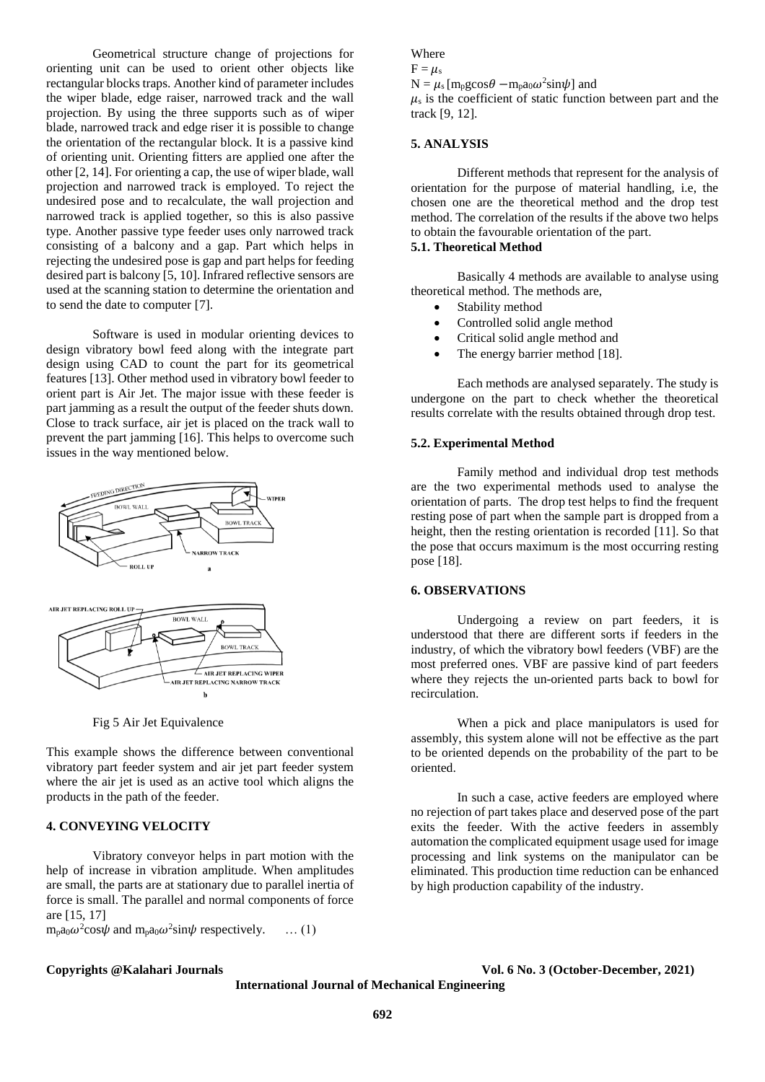Geometrical structure change of projections for orienting unit can be used to orient other objects like rectangular blocks traps. Another kind of parameter includes the wiper blade, edge raiser, narrowed track and the wall projection. By using the three supports such as of wiper blade, narrowed track and edge riser it is possible to change the orientation of the rectangular block. It is a passive kind of orienting unit. Orienting fitters are applied one after the other [2, 14]. For orienting a cap, the use of wiper blade, wall projection and narrowed track is employed. To reject the undesired pose and to recalculate, the wall projection and narrowed track is applied together, so this is also passive type. Another passive type feeder uses only narrowed track consisting of a balcony and a gap. Part which helps in rejecting the undesired pose is gap and part helps for feeding desired part is balcony [5, 10]. Infrared reflective sensors are used at the scanning station to determine the orientation and to send the date to computer [7].

Software is used in modular orienting devices to design vibratory bowl feed along with the integrate part design using CAD to count the part for its geometrical features [13]. Other method used in vibratory bowl feeder to orient part is Air Jet. The major issue with these feeder is part jamming as a result the output of the feeder shuts down. Close to track surface, air jet is placed on the track wall to prevent the part jamming [16]. This helps to overcome such issues in the way mentioned below.



Fig 5 Air Jet Equivalence

This example shows the difference between conventional vibratory part feeder system and air jet part feeder system where the air jet is used as an active tool which aligns the products in the path of the feeder.

# **4. CONVEYING VELOCITY**

Vibratory conveyor helps in part motion with the help of increase in vibration amplitude. When amplitudes are small, the parts are at stationary due to parallel inertia of force is small. The parallel and normal components of force are [15, 17]

 $m_p a_0 \omega^2 \cos \psi$  and  $m_p a_0 \omega^2 \sin \psi$  respectively. ... (1)

# Where

 $F = \mu_s$ 

 $N = \mu_s [m_p g cos\theta - m_p a_0 \omega^2 sin\psi]$  and

 $\mu_s$  is the coefficient of static function between part and the track [9, 12].

# **5. ANALYSIS**

Different methods that represent for the analysis of orientation for the purpose of material handling, i.e, the chosen one are the theoretical method and the drop test method. The correlation of the results if the above two helps to obtain the favourable orientation of the part.

# **5.1. Theoretical Method**

Basically 4 methods are available to analyse using theoretical method. The methods are,

- Stability method
- Controlled solid angle method
- Critical solid angle method and
- The energy barrier method [18].

Each methods are analysed separately. The study is undergone on the part to check whether the theoretical results correlate with the results obtained through drop test.

# **5.2. Experimental Method**

Family method and individual drop test methods are the two experimental methods used to analyse the orientation of parts. The drop test helps to find the frequent resting pose of part when the sample part is dropped from a height, then the resting orientation is recorded [11]. So that the pose that occurs maximum is the most occurring resting pose [18].

### **6. OBSERVATIONS**

Undergoing a review on part feeders, it is understood that there are different sorts if feeders in the industry, of which the vibratory bowl feeders (VBF) are the most preferred ones. VBF are passive kind of part feeders where they rejects the un-oriented parts back to bowl for recirculation.

When a pick and place manipulators is used for assembly, this system alone will not be effective as the part to be oriented depends on the probability of the part to be oriented.

In such a case, active feeders are employed where no rejection of part takes place and deserved pose of the part exits the feeder. With the active feeders in assembly automation the complicated equipment usage used for image processing and link systems on the manipulator can be eliminated. This production time reduction can be enhanced by high production capability of the industry.

**Copyrights @Kalahari Journals Vol. 6 No. 3 (October-December, 2021)**

**International Journal of Mechanical Engineering**